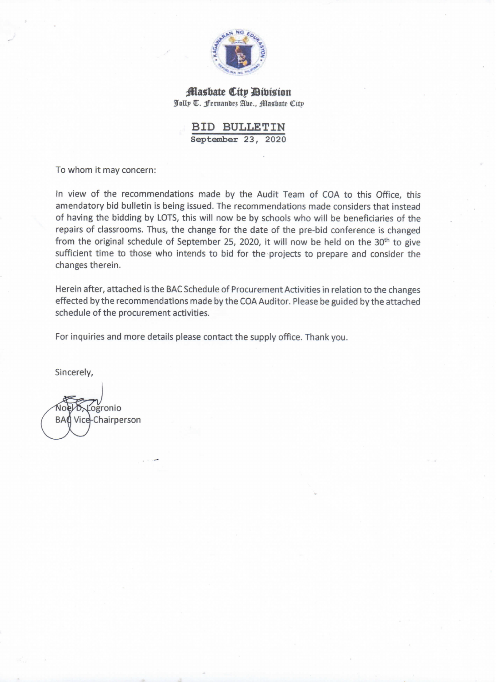

Masbate City Division Jolly T. Fernandes Abe., Masbate City

> **BID BULLETIN** September 23, 2020

To whom it may concern:

In view of the recommendations made by the Audit Team of COA to this Office, this amendatory bid bulletin is being issued. The recommendations made considers that instead of having the bidding by LOTS, this will now be by schools who will be beneficiaries of the repairs of classrooms. Thus, the change for the date of the pre-bid conference is changed from the original schedule of September 25, 2020, it will now be held on the 30<sup>th</sup> to give sufficient time to those who intends to bid for the projects to prepare and consider the changes therein.

Herein after, attached is the BAC Schedule of Procurement Activities in relation to the changes effected by the recommendations made by the COA Auditor. Please be guided by the attached schedule of the procurement activities.

For inquiries and more details please contact the supply office. Thank you.

Sincerely,

ogronio **BA** Vice-Chairperson